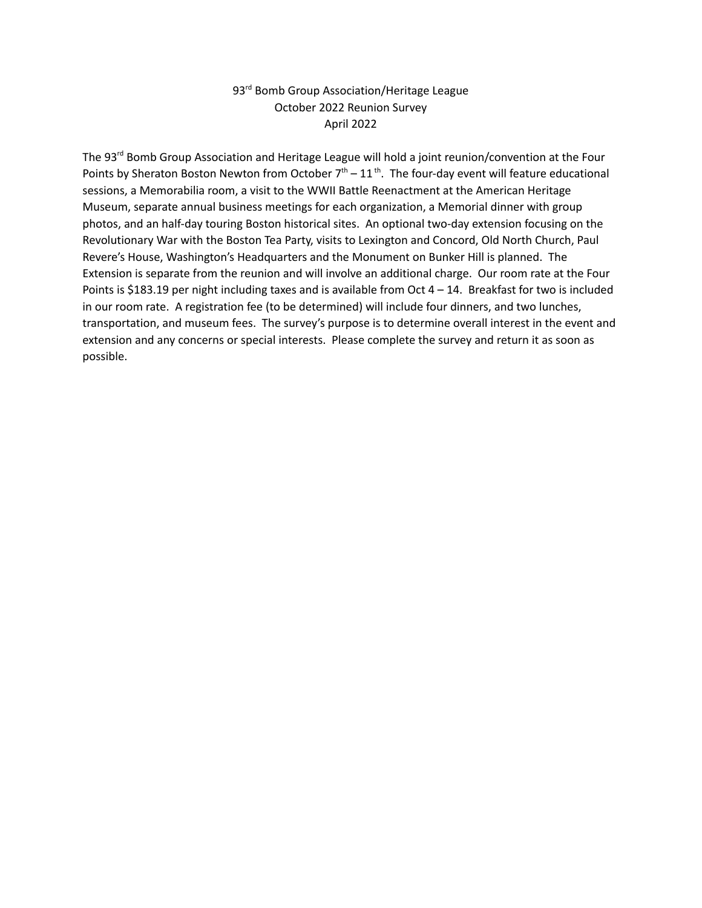## 93<sup>rd</sup> Bomb Group Association/Heritage League October 2022 Reunion Survey April 2022

The 93<sup>rd</sup> Bomb Group Association and Heritage League will hold a joint reunion/convention at the Four Points by Sheraton Boston Newton from October  $7<sup>th</sup> - 11<sup>th</sup>$ . The four-day event will feature educational sessions, a Memorabilia room, a visit to the WWII Battle Reenactment at the American Heritage Museum, separate annual business meetings for each organization, a Memorial dinner with group photos, and an half-day touring Boston historical sites. An optional two-day extension focusing on the Revolutionary War with the Boston Tea Party, visits to Lexington and Concord, Old North Church, Paul Revere's House, Washington's Headquarters and the Monument on Bunker Hill is planned. The Extension is separate from the reunion and will involve an additional charge. Our room rate at the Four Points is \$183.19 per night including taxes and is available from Oct  $4 - 14$ . Breakfast for two is included in our room rate. A registration fee (to be determined) will include four dinners, and two lunches, transportation, and museum fees. The survey's purpose is to determine overall interest in the event and extension and any concerns or special interests. Please complete the survey and return it as soon as possible.